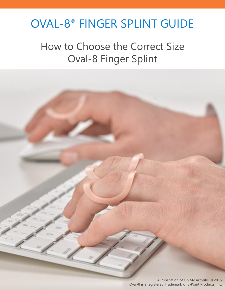### OVAL-8 ® FINGER SPLINT GUIDE

How to Choose the Correct Size Oval-8 Finger Splint

> A Publication of Oh My Arthritis © 2016 Oval-8 is a registered Trademark of 3-Point Products, Inc.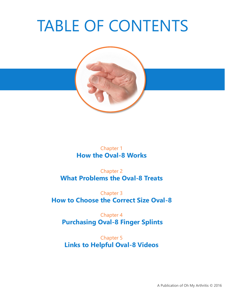# TABLE OF CONTENTS



#### Chapter 1 **How the Oval-8 Works**

Chapter 2 **What Problems the Oval-8 Treats**

Chapter 3 **How to Choose the Correct Size Oval-8**

Chapter 4 **Purchasing Oval-8 Finger Splints**

Chapter 5 **Links to Helpful Oval-8 Videos**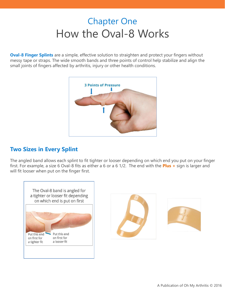### Chapter One How the Oval-8 Works

**Oval-8 Finger Splints** are a simple, effective solution to straighten and protect your fingers without messy tape or straps. The wide smooth bands and three points of control help stabilize and align the small joints of fingers affected by arthritis, injury or other health conditions.



#### **Two Sizes in Every Splint**

The angled band allows each splint to fit tighter or looser depending on which end you put on your finger first. For example, a size 6 Oval-8 fits as either a 6 or a 6 1/2. The end with the **Plus +** sign is larger and will fit looser when put on the finger first.



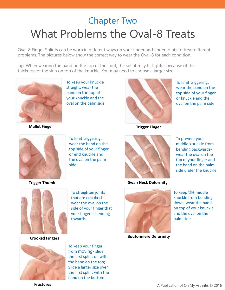### Chapter Two What Problems the Oval-8 Treats

Oval-8 Finger Splints can be worn in different ways on your finger and finger joints to treat different problems. The pictures below show the correct way to wear the Oval-8 for each condition.

Tip: When wearing the band on the top of the joint, the splint may fit tighter because of the thickness of the skin on top of the knuckle. You may need to choose a larger size.



**Mallet Finger Trigger Finger**

To keep your knuckle straight, wear the band on the top of your knuckle and the oval on the palm side



To limit triggering, wear the band on the top side of your finger or knuckle and the oval on the palm side



To limit triggering, wear the band on the top side of your finger or end knuckle and the oval on the palm side



**Trigger Thumb Swan Neck Deformity**



To prevent your middle knuckle from bending backwardswear the oval on the



To straighten joints that are crookedwear the oval on the side of your finger that your finger is bending towards



To keep your finger from moving- slide the first splint on with the band on the top; Slide a larger size over the first splint with the band on the bottom



knuckle from bending down, wear the band on top of your knuckle and the oval on the palm side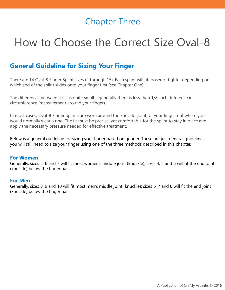### Chapter Three

## How to Choose the Correct Size Oval-8

#### **General Guideline for Sizing Your Finger**

There are 14 Oval-8 Finger Splint sizes (2 through 15). Each splint will fit looser or tighter depending on which end of the splint slides onto your finger first (see Chapter One).

The differences between sizes is quite small – generally there is less than 1/8-inch difference in circumference (measurement around your finger).

In most cases, Oval-8 Finger Splints are worn around the knuckle (joint) of your finger, not where you would normally wear a ring. The fit must be precise, yet comfortable for the splint to stay in place and apply the necessary pressure needed for effective treatment.

Below is a general guideline for sizing your finger based on gender. These are just general guidelines you will still need to size your finger using one of the three methods described in this chapter.

#### **For Women**

Generally, sizes 5, 6 and 7 will fit most women's middle joint (knuckle); sizes 4, 5 and 6 will fit the end joint (knuckle) below the finger nail.

#### **For Men**

Generally, sizes 8, 9 and 10 will fit most men's middle joint (knuckle); sizes 6, 7 and 8 will fit the end joint (knuckle) below the finger nail.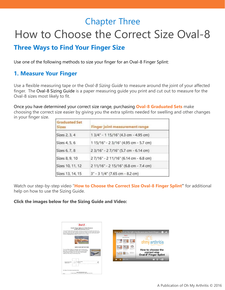### Chapter Three How to Choose the Correct Size Oval-8

#### **Three Ways to Find Your Finger Size**

Use one of the following methods to size your finger for an Oval-8 Finger Splint:

#### **1. Measure Your Finger**

Use a flexible measuring tape or the *Oval-8 Sizing Guide* to measure around the joint of your affected finger. The Oval-8 Sizing Guide is a paper measuring guide you print and cut out to measure for the Oval-8 sizes most likely to fit.

Once you have determined your correct size range, purchasing **Oval-8 Graduated Sets** make choosing the correct size easier by giving you the extra splints needed for swelling and other changes in your finger size.

| <b>Graduated Set</b><br>Sizes | <b>Finger joint measurement range</b> |  |
|-------------------------------|---------------------------------------|--|
| Sizes 2, 3, 4                 | 1 3/4" - 1 15/16" (4.3 cm - 4.95 cm)  |  |
| Sizes 4, 5, 6                 | 1 15/16" - 2 3/16" (4.95 cm - 5.7 cm) |  |
| Sizes 6, 7, 8                 | 2 3/16" - 2 7/16" (5.7 cm - 6.14 cm)  |  |
| Sizes 8, 9, 10                | 27/16" - 2 11/16" (6.14 cm - 6.8 cm)  |  |
| Sizes 10, 11, 12              | 2 11/16" - 2 15/16" (6.8 cm - 7.4 cm) |  |
| Sizes 13, 14, 15              | 3" - 3 1/4" (7.65 cm - 8.2 cm)        |  |

Watch our step-by-step video "**How to Choose the Correct Size Oval-8 Finger Splint"** for additional help on how to use the Sizing Guide.

ht size for your your Oval-8 finger ...  $\, \bullet \, \blacktriangleleft$ 

ohmy arthritis

How to choose the correct size<br>Oval-8<sup>®</sup> Finger Splint

**ca** community

#### **Click the images below for the Sizing Guide and Video:**

| $0$ val- $8$                                                                                                                                                                                                                                                                                                                                                                      |                                               |
|-----------------------------------------------------------------------------------------------------------------------------------------------------------------------------------------------------------------------------------------------------------------------------------------------------------------------------------------------------------------------------------|-----------------------------------------------|
| Oval-8 <sup>=</sup> Finger Splints by 3-Point Products<br>SIZING GUIDE IPrintable Versioni                                                                                                                                                                                                                                                                                        |                                               |
| The Oval 8 <sup>8</sup> Finant Solints Sizing Guide will help you choose the size solint most likely to fit<br>your finger. Since even plight swelling or temperature changes can affect finger size, choosing<br>only one size aplint does not querantee that size will be 100% accurate. We do recommend<br>ordering a Graduated Set of 3 sizes for greater accuracy in sizing. | How to find out the right s                   |
|                                                                                                                                                                                                                                                                                                                                                                                   | $0$ val- $8$<br><b>SZINE GADE ANZALCTICAR</b> |
|                                                                                                                                                                                                                                                                                                                                                                                   | Learn May Los areas<br>in a more of the       |
| SIZING GUIDE INSTRUCTIONS                                                                                                                                                                                                                                                                                                                                                         |                                               |
| To use the Sizing Guide you will need a pair of scissors and a<br>ruler with 1/16" increments or a metric ruler. Cut out the quide<br>below along the dotted line and follow the instructions below.                                                                                                                                                                              |                                               |
| If using sciences is difficult, you may wish to have someone<br>sesist you with cutting out the Sizing Guide.                                                                                                                                                                                                                                                                     | <b>MARINEZ CONTRACTOR</b>                     |
| <b>NATIONAL PROPERTY</b>                                                                                                                                                                                                                                                                                                                                                          | 40<br>0:01 / 2:35                             |
| <b>Literature</b><br>-Measure from<br>Center the knuckle<br>랋<br>this Ine<br>with this line.<br><b>CALCOM</b>                                                                                                                                                                                                                                                                     |                                               |
| <b>AAAAAAAAAAAAAA</b>                                                                                                                                                                                                                                                                                                                                                             |                                               |
| See Pege 2 for step-by-step instructions.                                                                                                                                                                                                                                                                                                                                         |                                               |
| www.3psintproducts.com<br><sup>=</sup> 3 Porn Products, Inc. Stevensville, MD 21666 Made in the U.S.A.<br>Poor 1                                                                                                                                                                                                                                                                  |                                               |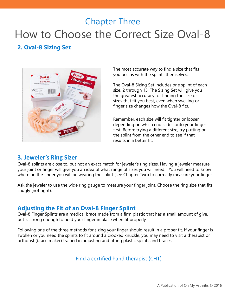### Chapter Three How to Choose the Correct Size Oval-8

#### **2. Oval-8 Sizing Set**



The most accurate way to find a size that fits you best is with the splints themselves.

The Oval-8 Sizing Set includes one splint of each size, 2 through 15. The Sizing Set will give you the greatest accuracy for finding the size or sizes that fit you best, even when swelling or finger size changes how the Oval-8 fits.

Remember, each size will fit tighter or looser depending on which end slides onto your finger first. Before trying a different size, try putting on the splint from the other end to see if that results in a better fit.

#### **3. Jeweler's Ring Sizer**

Oval-8 splints are close to, but not an exact match for jeweler's ring sizes. Having a jeweler measure your joint or finger will give you an idea of what range of sizes you will need. . You will need to know where on the finger you will be wearing the splint (see Chapter Two) to correctly measure your finger.

Ask the jeweler to use the wide ring gauge to measure your finger joint. Choose the ring size that fits snugly (not tight).

#### **Adjusting the Fit of an Oval-8 Finger Splint**

Oval-8 Finger Splints are a medical brace made from a firm plastic that has a small amount of give, but is strong enough to hold your finger in place when fit properly.

Following one of the three methods for sizing your finger should result in a proper fit. If your finger is swollen or you need the splints to fit around a crooked knuckle, you may need to visit a therapist or orthotist (brace maker) trained in adjusting and fitting plastic splints and braces.

[Find a certified hand therapist \(CHT\)](https://www.htcc.org/find-a-cht)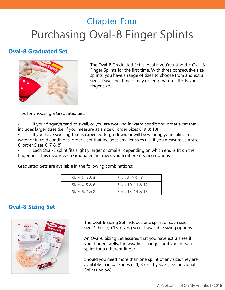### Chapter Four Purchasing Oval-8 Finger Splints

#### **Oval-8 Graduated Set**



The Oval-8 Graduated Set is ideal if you're using the Oval-8 Finger Splints for the first time. With three consecutive size splints, you have a range of sizes to choose from and extra sizes if swelling, time of day or temperature affects your finger size.

Tips for choosing a Graduated Set:

If your finger(s) tend to swell, or you are working in warm conditions, order a set that includes larger sizes (i.e. if you measure as a size 8, order Sizes 8, 9 & 10)

If you have swelling that is expected to go down, or will be wearing your splint in water or in cold conditions, order a set that includes smaller sizes (i.e. if you measure as a size 8, order Sizes 6, 7 & 8)

• Each Oval-8 splint fits slightly larger or smaller depending on which end is fit on the finger first. This means each Graduated Set gives you 6 different sizing options.

Graduated Sets are available in the following combinations:

| Sizes 2, 3 & 4 | Sizes 8, 9 & 10   |
|----------------|-------------------|
| Sizes 4, 5 & 6 | Sizes 10, 11 & 12 |
| Sizes 6, 7 & 8 | Sizes 13, 14 & 15 |

#### **Oval-8 Sizing Set**



The Oval-8 Sizing Set includes one splint of each size, size 2 through 15, giving you all available sizing options.

An Oval-8 Sizing Set assures that you have extra sizes if your finger swells, the weather changes or if you need a splint for a different finger.

Should you need more than one splint of any size, they are available in in packages of 1, 3 or 5 by size (see Individual Splints below).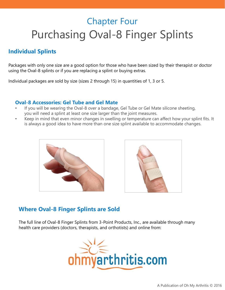### Chapter Four Purchasing Oval-8 Finger Splints

#### **Individual Splints**

Packages with only one size are a good option for those who have been sized by their therapist or doctor using the Oval-8 splints or if you are replacing a splint or buying extras.

Individual packages are sold by size (sizes 2 through 15) in quantities of 1, 3 or 5.

#### **Oval-8 Accessories: Gel Tube and Gel Mate**

- If you will be wearing the Oval-8 over a bandage, Gel Tube or Gel Mate silicone sheeting, you will need a splint at least one size larger than the joint measures.
- Keep in mind that even minor changes in swelling or temperature can affect how your splint fits. It is always a good idea to have more than one size splint available to accommodate changes.





#### **Where Oval-8 Finger Splints are Sold**

The full line of Oval-8 Finger Splints from 3-Point Products, Inc., are available through many health care providers (doctors, therapists, and orthotists) and online from:

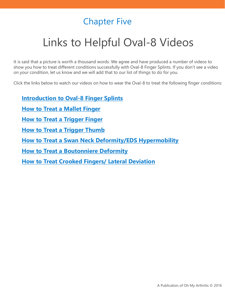### Chapter Five

# Links to Helpful Oval-8 Videos

It is said that a picture is worth a thousand words. We agree and have produced a number of videos to show you how to treat different conditions successfully with Oval-8 Finger Splints. If you don't see a video on your condition, let us know and we will add that to our list of things to do for you.

Click the links below to watch our videos on how to wear the Oval-8 to treat the following finger conditions:

**[Introduction to Oval-8 Finger Splints](https://www.ohmyarthritis.com/Learn/Watch-Our-Videos/Oval-8-Finger-Splints-Videos.html#intro) [How to Treat a Mallet Finger](https://www.ohmyarthritis.com/Learn/Watch-Our-Videos/Oval-8-Finger-Splints-Videos.html#mallet) [How to Treat a Trigger Finger](https://www.ohmyarthritis.com/Learn/Watch-Our-Videos/Oval-8-Finger-Splints-Videos.html#trigger)  [How to Treat a Trigger Thumb](https://www.ohmyarthritis.com/Learn/Watch-Our-Videos/Oval-8-Finger-Splints-Videos.html#triggerthumb) [How to Treat a Swan Neck Deformity/EDS Hypermobility](https://www.ohmyarthritis.com/Learn/Watch-Our-Videos/Oval-8-Finger-Splints-Videos.html#swan) [How to Treat a Boutonniere Deformity](https://www.ohmyarthritis.com/Learn/Watch-Our-Videos/Oval-8-Finger-Splints-Videos.html#boutonniere) [How to Treat Crooked Fingers/ Lateral Deviation](https://www.ohmyarthritis.com/Learn/Watch-Our-Videos/Oval-8-Finger-Splints-Videos.html#crooked)**